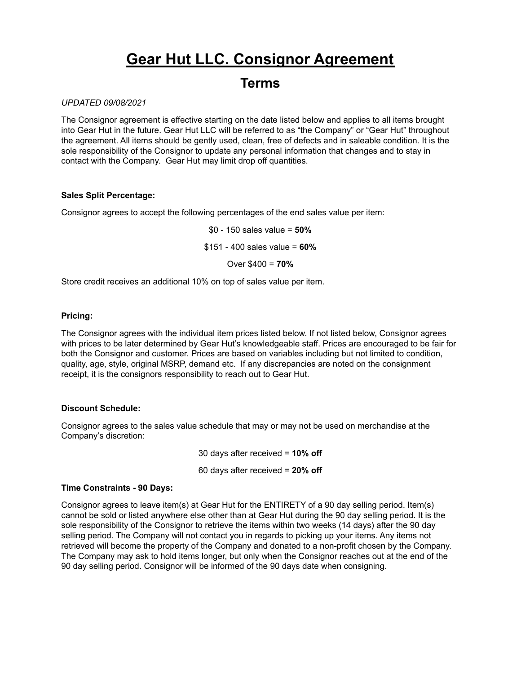## **Gear Hut LLC. Consignor Agreement**

### **Terms**

#### *UPDATED 09/08/2021*

The Consignor agreement is effective starting on the date listed below and applies to all items brought into Gear Hut in the future. Gear Hut LLC will be referred to as "the Company" or "Gear Hut" throughout the agreement. All items should be gently used, clean, free of defects and in saleable condition. It is the sole responsibility of the Consignor to update any personal information that changes and to stay in contact with the Company. Gear Hut may limit drop off quantities.

#### **Sales Split Percentage:**

Consignor agrees to accept the following percentages of the end sales value per item:

\$0 - 150 sales value = **50%**

\$151 - 400 sales value = **60%**

Over \$400 = **70%**

Store credit receives an additional 10% on top of sales value per item.

#### **Pricing:**

The Consignor agrees with the individual item prices listed below. If not listed below, Consignor agrees with prices to be later determined by Gear Hut's knowledgeable staff. Prices are encouraged to be fair for both the Consignor and customer. Prices are based on variables including but not limited to condition, quality, age, style, original MSRP, demand etc. If any discrepancies are noted on the consignment receipt, it is the consignors responsibility to reach out to Gear Hut.

#### **Discount Schedule:**

Consignor agrees to the sales value schedule that may or may not be used on merchandise at the Company's discretion:

30 days after received = **10% off**

60 days after received = **20% off**

#### **Time Constraints - 90 Days:**

Consignor agrees to leave item(s) at Gear Hut for the ENTIRETY of a 90 day selling period. Item(s) cannot be sold or listed anywhere else other than at Gear Hut during the 90 day selling period. It is the sole responsibility of the Consignor to retrieve the items within two weeks (14 days) after the 90 day selling period. The Company will not contact you in regards to picking up your items. Any items not retrieved will become the property of the Company and donated to a non-profit chosen by the Company. The Company may ask to hold items longer, but only when the Consignor reaches out at the end of the 90 day selling period. Consignor will be informed of the 90 days date when consigning.